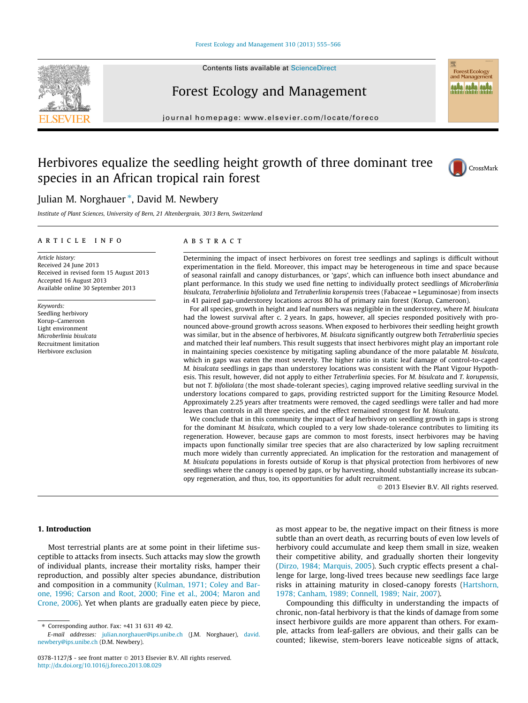#### [Forest Ecology and Management 310 \(2013\) 555–566](http://dx.doi.org/10.1016/j.foreco.2013.08.029)





Forest Ecology and Management

journal homepage: [www.elsevier.com/locate/foreco](http://www.elsevier.com/locate/foreco)

# Herbivores equalize the seedling height growth of three dominant tree species in an African tropical rain forest



Forest Ecology<br>and Management **ALÂA ALÂA ALÂA** 

## Julian M. Norghauer \*, David M. Newbery

Institute of Plant Sciences, University of Bern, 21 Altenbergrain, 3013 Bern, Switzerland

#### article info

Article history: Received 24 June 2013 Received in revised form 15 August 2013 Accepted 16 August 2013 Available online 30 September 2013

Keywords: Seedling herbivory Korup–Cameroon Light environment Microberlinia bisulcata Recruitment limitation Herbivore exclusion

## **ABSTRACT**

Determining the impact of insect herbivores on forest tree seedlings and saplings is difficult without experimentation in the field. Moreover, this impact may be heterogeneous in time and space because of seasonal rainfall and canopy disturbances, or 'gaps', which can influence both insect abundance and plant performance. In this study we used fine netting to individually protect seedlings of Microberlinia bisulcata, Tetraberlinia bifoliolata and Tetraberlinia korupensis trees (Fabaceae = Leguminosae) from insects in 41 paired gap-understorey locations across 80 ha of primary rain forest (Korup, Cameroon).

For all species, growth in height and leaf numbers was negligible in the understorey, where M. bisulcata had the lowest survival after c. 2 years. In gaps, however, all species responded positively with pronounced above-ground growth across seasons. When exposed to herbivores their seedling height growth was similar, but in the absence of herbivores, M. bisulcata significantly outgrew both Tetraberlinia species and matched their leaf numbers. This result suggests that insect herbivores might play an important role in maintaining species coexistence by mitigating sapling abundance of the more palatable M. bisulcata, which in gaps was eaten the most severely. The higher ratio in static leaf damage of control-to-caged M. bisulcata seedlings in gaps than understorey locations was consistent with the Plant Vigour Hypothesis. This result, however, did not apply to either Tetraberlinia species. For M. bisulcata and T. korupensis, but not T. bifoliolata (the most shade-tolerant species), caging improved relative seedling survival in the understory locations compared to gaps, providing restricted support for the Limiting Resource Model. Approximately 2.25 years after treatments were removed, the caged seedlings were taller and had more leaves than controls in all three species, and the effect remained strongest for M. bisulcata.

We conclude that in this community the impact of leaf herbivory on seedling growth in gaps is strong for the dominant M. bisulcata, which coupled to a very low shade-tolerance contributes to limiting its regeneration. However, because gaps are common to most forests, insect herbivores may be having impacts upon functionally similar tree species that are also characterized by low sapling recruitment much more widely than currently appreciated. An implication for the restoration and management of M. bisulcata populations in forests outside of Korup is that physical protection from herbivores of new seedlings where the canopy is opened by gaps, or by harvesting, should substantially increase its subcanopy regeneration, and thus, too, its opportunities for adult recruitment.

- 2013 Elsevier B.V. All rights reserved.

## 1. Introduction

Most terrestrial plants are at some point in their lifetime susceptible to attacks from insects. Such attacks may slow the growth of individual plants, increase their mortality risks, hamper their reproduction, and possibly alter species abundance, distribution and composition in a community [\(Kulman, 1971; Coley and Bar](#page-10-0)[one, 1996; Carson and Root, 2000; Fine et al., 2004; Maron and](#page-10-0) [Crone, 2006](#page-10-0)). Yet when plants are gradually eaten piece by piece, as most appear to be, the negative impact on their fitness is more subtle than an overt death, as recurring bouts of even low levels of herbivory could accumulate and keep them small in size, weaken their competitive ability, and gradually shorten their longevity ([Dirzo, 1984; Marquis, 2005\)](#page-10-0). Such cryptic effects present a challenge for large, long-lived trees because new seedlings face large risks in attaining maturity in closed-canopy forests [\(Hartshorn,](#page-10-0) [1978; Canham, 1989; Connell, 1989; Nair, 2007](#page-10-0)).

Compounding this difficulty in understanding the impacts of chronic, non-fatal herbivory is that the kinds of damage from some insect herbivore guilds are more apparent than others. For example, attacks from leaf-gallers are obvious, and their galls can be counted; likewise, stem-borers leave noticeable signs of attack,

<sup>⇑</sup> Corresponding author. Fax: +41 31 631 49 42.

E-mail addresses: [julian.norghauer@ips.unibe.ch](mailto:julian.norghauer@ips.unibe.ch) (J.M. Norghauer), [david.](mailto:david.newbery@ips.unibe.ch) [newbery@ips.unibe.ch](mailto:david.newbery@ips.unibe.ch) (D.M. Newbery).

<sup>0378-1127/\$ -</sup> see front matter © 2013 Elsevier B.V. All rights reserved. <http://dx.doi.org/10.1016/j.foreco.2013.08.029>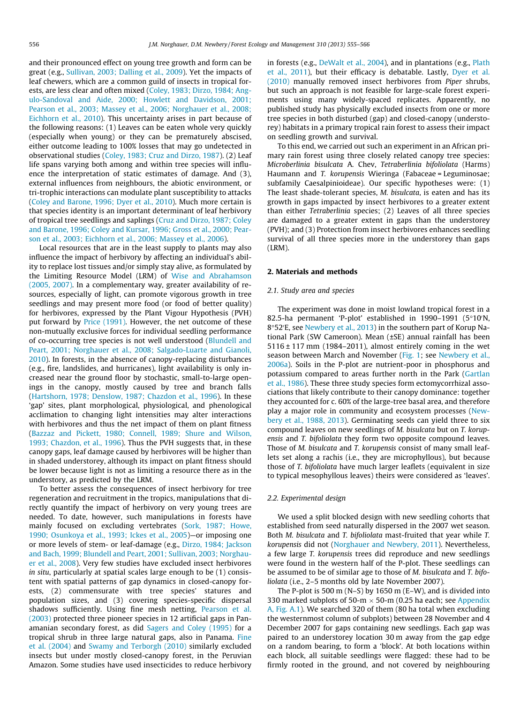and their pronounced effect on young tree growth and form can be great (e.g., [Sullivan, 2003; Dalling et al., 2009](#page-11-0)). Yet the impacts of leaf chewers, which are a common guild of insects in tropical forests, are less clear and often mixed [\(Coley, 1983; Dirzo, 1984; Ang](#page-10-0)[ulo-Sandoval and Aide, 2000; Howlett and Davidson, 2001;](#page-10-0) [Pearson et al., 2003; Massey et al., 2006; Norghauer et al., 2008;](#page-10-0) [Eichhorn et al., 2010](#page-10-0)). This uncertainty arises in part because of the following reasons: (1) Leaves can be eaten whole very quickly (especially when young) or they can be prematurely abscised, either outcome leading to 100% losses that may go undetected in observational studies ([Coley, 1983; Cruz and Dirzo, 1987\)](#page-10-0). (2) Leaf life spans varying both among and within tree species will influence the interpretation of static estimates of damage. And (3), external influences from neighbours, the abiotic environment, or tri-trophic interactions can modulate plant susceptibility to attacks ([Coley and Barone, 1996; Dyer et al., 2010](#page-10-0)). Much more certain is that species identity is an important determinant of leaf herbivory of tropical tree seedlings and saplings [\(Cruz and Dirzo, 1987; Coley](#page-10-0) [and Barone, 1996; Coley and Kursar, 1996; Gross et al., 2000; Pear](#page-10-0)[son et al., 2003; Eichhorn et al., 2006; Massey et al., 2006\)](#page-10-0).

Local resources that are in the least supply to plants may also influence the impact of herbivory by affecting an individual's ability to replace lost tissues and/or simply stay alive, as formulated by the Limiting Resource Model (LRM) of [Wise and Abrahamson](#page-11-0) [\(2005, 2007\)](#page-11-0). In a complementary way, greater availability of resources, especially of light, can promote vigorous growth in tree seedlings and may present more food (or food of better quality) for herbivores, expressed by the Plant Vigour Hypothesis (PVH) put forward by [Price \(1991\).](#page-11-0) However, the net outcome of these non-mutually exclusive forces for individual seedling performance of co-occurring tree species is not well understood [\(Blundell and](#page-10-0) [Peart, 2001; Norghauer et al., 2008; Salgado-Luarte and Gianoli,](#page-10-0) [2010\)](#page-10-0). In forests, in the absence of canopy-replacing disturbances (e.g., fire, landslides, and hurricanes), light availability is only increased near the ground floor by stochastic, small-to-large openings in the canopy, mostly caused by tree and branch falls ([Hartshorn, 1978; Denslow, 1987; Chazdon et al., 1996](#page-10-0)). In these 'gap' sites, plant morphological, physiological, and phenological acclimation to changing light intensities may alter interactions with herbivores and thus the net impact of them on plant fitness ([Bazzaz and Pickett, 1980; Connell, 1989; Shure and Wilson,](#page-10-0) [1993; Chazdon, et al., 1996\)](#page-10-0). Thus the PVH suggests that, in these canopy gaps, leaf damage caused by herbivores will be higher than in shaded understorey, although its impact on plant fitness should be lower because light is not as limiting a resource there as in the understory, as predicted by the LRM.

To better assess the consequences of insect herbivory for tree regeneration and recruitment in the tropics, manipulations that directly quantify the impact of herbivory on very young trees are needed. To date, however, such manipulations in forests have mainly focused on excluding vertebrates [\(Sork, 1987; Howe,](#page-11-0) [1990; Osunkoya et al., 1993; Ickes et al., 2005](#page-11-0))—or imposing one or more levels of stem- or leaf-damage (e.g., [Dirzo, 1984; Jackson](#page-10-0) [and Bach, 1999; Blundell and Peart, 2001; Sullivan, 2003; Norghau](#page-10-0)[er et al., 2008\)](#page-10-0). Very few studies have excluded insect herbivores in situ, particularly at spatial scales large enough to be (1) consistent with spatial patterns of gap dynamics in closed-canopy forests, (2) commensurate with tree species' statures and population sizes, and (3) covering species-specific dispersal shadows sufficiently. Using fine mesh netting, [Pearson et al.](#page-11-0) [\(2003\)](#page-11-0) protected three pioneer species in 12 artificial gaps in Panamanian secondary forest, as did [Sagers and Coley \(1995\)](#page-11-0) for a tropical shrub in three large natural gaps, also in Panama. [Fine](#page-10-0) [et al. \(2004\)](#page-10-0) and [Swamy and Terborgh \(2010\)](#page-11-0) similarly excluded insects but under mostly closed-canopy forest, in the Peruvian Amazon. Some studies have used insecticides to reduce herbivory in forests (e.g., [DeWalt et al., 2004](#page-10-0)), and in plantations (e.g., [Plath](#page-11-0) [et al., 2011](#page-11-0)), but their efficacy is debatable. Lastly, [Dyer et al.](#page-10-0) [\(2010\)](#page-10-0) manually removed insect herbivores from Piper shrubs, but such an approach is not feasible for large-scale forest experiments using many widely-spaced replicates. Apparently, no published study has physically excluded insects from one or more tree species in both disturbed (gap) and closed-canopy (understorey) habitats in a primary tropical rain forest to assess their impact on seedling growth and survival.

To this end, we carried out such an experiment in an African primary rain forest using three closely related canopy tree species: Microberlinia bisulcata A. Chev, Tetraberlinia bifoliolata (Harms) Haumann and T. korupensis Wieringa (Fabaceae = Leguminosae; subfamily Caesalpinioideae). Our specific hypotheses were: (1) The least shade-tolerant species, M. bisulcata, is eaten and has its growth in gaps impacted by insect herbivores to a greater extent than either Tetraberlinia species; (2) Leaves of all three species are damaged to a greater extent in gaps than the understorey (PVH); and (3) Protection from insect herbivores enhances seedling survival of all three species more in the understorey than gaps (LRM).

## 2. Materials and methods

## 2.1. Study area and species

The experiment was done in moist lowland tropical forest in a 82.5-ha permanent 'P-plot' established in 1990–1991  $(5°10'N,$ 8°52'E, see [Newbery et al., 2013\)](#page-11-0) in the southern part of Korup National Park (SW Cameroon). Mean (±SE) annual rainfall has been  $5116 \pm 117$  mm (1984–2011), almost entirely coming in the wet season between March and November ([Fig. 1;](#page-2-0) see [Newbery et al.,](#page-10-0) [2006a\)](#page-10-0). Soils in the P-plot are nutrient-poor in phosphorus and potassium compared to areas further north in the Park ([Gartlan](#page-10-0) [et al., 1986](#page-10-0)). These three study species form ectomycorrhizal associations that likely contribute to their canopy dominance: together they accounted for c. 60% of the large-tree basal area, and therefore play a major role in community and ecosystem processes [\(New](#page-10-0)[bery et al., 1988, 2013\)](#page-10-0). Germinating seeds can yield three to six compound leaves on new seedlings of M. bisulcata but on T. korupensis and T. bifoliolata they form two opposite compound leaves. Those of M. bisulcata and T. korupensis consist of many small leaflets set along a rachis (i.e., they are microphyllous), but because those of T. bifoliolata have much larger leaflets (equivalent in size to typical mesophyllous leaves) theirs were considered as 'leaves'.

## 2.2. Experimental design

We used a split blocked design with new seedling cohorts that established from seed naturally dispersed in the 2007 wet season. Both M. bisulcata and T. bifoliolata mast-fruited that year while T. korupensis did not ([Norghauer and Newbery, 2011](#page-11-0)). Nevertheless, a few large T. korupensis trees did reproduce and new seedlings were found in the western half of the P-plot. These seedlings can be assumed to be of similar age to those of M. bisulcata and T. bifoliolata (i.e., 2–5 months old by late November 2007).

The P-plot is 500 m (N–S) by 1650 m (E–W), and is divided into 330 marked subplots of 50-m  $\times$  50-m (0.25 ha each; see Appendix A, Fig. A.1). We searched 320 of them (80 ha total when excluding the westernmost column of subplots) between 28 November and 4 December 2007 for gaps containing new seedlings. Each gap was paired to an understorey location 30 m away from the gap edge on a random bearing, to form a 'block'. At both locations within each block, all suitable seedlings were flagged: these had to be firmly rooted in the ground, and not covered by neighbouring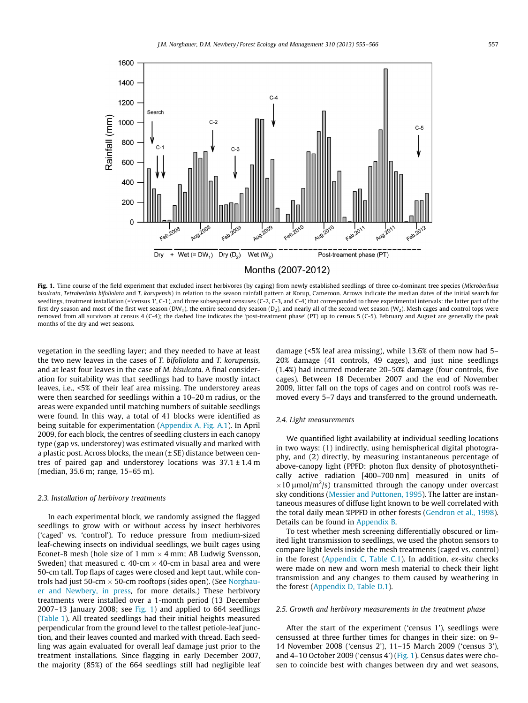<span id="page-2-0"></span>

Fig. 1. Time course of the field experiment that excluded insect herbivores (by caging) from newly established seedlings of three co-dominant tree species (Microberlinia bisulcata, Tetraberlinia bifoliolata and T. korupensis) in relation to the season rainfall pattern at Korup, Cameroon. Arrows indicate the median dates of the initial search for seedlings, treatment installation (='census 1', C-1), and three subsequent censuses (C-2, C-3, and C-4) that corresponded to three experimental intervals: the latter part of the first dry season and most of the first wet season (DW<sub>1</sub>), the entire second dry season (D<sub>2</sub>), and nearly all of the second wet season (W<sub>2</sub>). Mesh cages and control tops were removed from all survivors at census 4 (C-4); the dashed line indicates the 'post-treatment phase' (PT) up to census 5 (C-5). February and August are generally the peak months of the dry and wet seasons.

vegetation in the seedling layer; and they needed to have at least the two new leaves in the cases of T. bifoliolata and T. korupensis, and at least four leaves in the case of M. bisulcata. A final consideration for suitability was that seedlings had to have mostly intact leaves, i.e., <5% of their leaf area missing. The understorey areas were then searched for seedlings within a 10–20 m radius, or the areas were expanded until matching numbers of suitable seedlings were found. In this way, a total of 41 blocks were identified as being suitable for experimentation (Appendix A, Fig. A.1). In April 2009, for each block, the centres of seedling clusters in each canopy type (gap vs. understorey) was estimated visually and marked with a plastic post. Across blocks, the mean (± SE) distance between centres of paired gap and understorey locations was  $37.1 \pm 1.4$  m (median, 35.6 m; range, 15–65 m).

## 2.3. Installation of herbivory treatments

In each experimental block, we randomly assigned the flagged seedlings to grow with or without access by insect herbivores ('caged' vs. 'control'). To reduce pressure from medium-sized leaf-chewing insects on individual seedlings, we built cages using Econet-B mesh (hole size of 1 mm  $\times$  4 mm; AB Ludwig Svensson, Sweden) that measured c. 40-cm  $\times$  40-cm in basal area and were 50-cm tall. Top flaps of cages were closed and kept taut, while con-trols had just 50-cm × 50-cm rooftops (sides open). (See [Norghau](#page-11-0)[er and Newbery, in press,](#page-11-0) for more details.) These herbivory treatments were installed over a 1-month period (13 December 2007–13 January 2008; see Fig. 1) and applied to  $664$  seedlings ([Table 1\)](#page-3-0). All treated seedlings had their initial heights measured perpendicular from the ground level to the tallest petiole-leaf junction, and their leaves counted and marked with thread. Each seedling was again evaluated for overall leaf damage just prior to the treatment installations. Since flagging in early December 2007, the majority (85%) of the 664 seedlings still had negligible leaf damage (<5% leaf area missing), while 13.6% of them now had 5– 20% damage (41 controls, 49 cages), and just nine seedlings (1.4%) had incurred moderate 20–50% damage (four controls, five cages). Between 18 December 2007 and the end of November 2009, litter fall on the tops of cages and on control roofs was removed every 5–7 days and transferred to the ground underneath.

## 2.4. Light measurements

We quantified light availability at individual seedling locations in two ways: (1) indirectly, using hemispherical digital photography, and (2) directly, by measuring instantaneous percentage of above-canopy light (PPFD: photon flux density of photosynthetically active radiation [400–700 nm] measured in units of  $\times$ 10 µmol/m<sup>2</sup>/s) transmitted through the canopy under overcast sky conditions [\(Messier and Puttonen, 1995](#page-10-0)). The latter are instantaneous measures of diffuse light known to be well correlated with the total daily mean %PPFD in other forests ([Gendron et al., 1998\)](#page-10-0). Details can be found in Appendix B.

To test whether mesh screening differentially obscured or limited light transmission to seedlings, we used the photon sensors to compare light levels inside the mesh treatments (caged vs. control) in the forest (Appendix C, Table C.1). In addition, ex-situ checks were made on new and worn mesh material to check their light transmission and any changes to them caused by weathering in the forest (Appendix D, Table D.1).

## 2.5. Growth and herbivory measurements in the treatment phase

After the start of the experiment ('census 1'), seedlings were censussed at three further times for changes in their size: on 9– 14 November 2008 ('census 2'), 11–15 March 2009 ('census 3'), and 4–10 October 2009 ('census 4') (Fig. 1). Census dates were chosen to coincide best with changes between dry and wet seasons,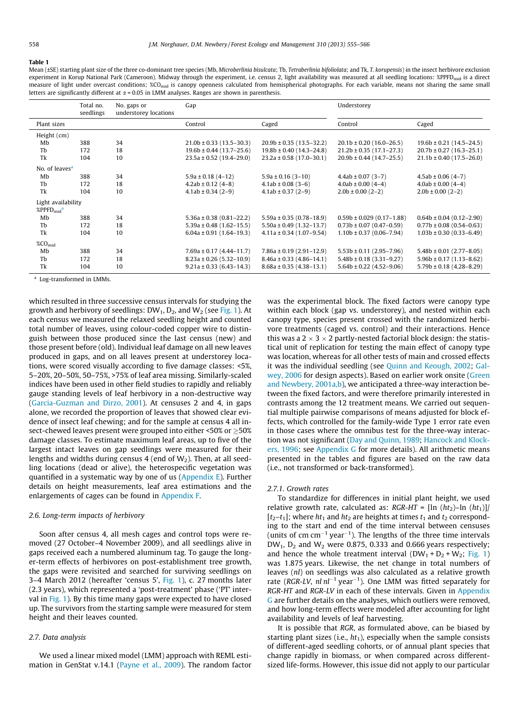#### <span id="page-3-0"></span>Table 1

Mean (±SE) starting plant size of the three co-dominant tree species (Mb, Microberlinia bisulcata; Tb, Tetraberlinia bifoliolata; and Tk, T. korupensis) in the insect herbivore exclusion experiment in Korup National Park (Cameroon). Midway through the experiment, i.e. census 2, light availability was measured at all seedling locations: %PPFD<sub>mid</sub> is a direct measure of light under overcast conditions; %CO<sub>mid</sub> is canopy openness calculated from hemispherical photographs. For each variable, means not sharing the same small letters are significantly different at  $\alpha$  = 0.05 in LMM analyses. Ranges are shown in parenthesis.

|                                      | Total no.<br>seedlings | No. gaps or<br>understorey locations | Gap                          |                              | Understorey                   |                               |
|--------------------------------------|------------------------|--------------------------------------|------------------------------|------------------------------|-------------------------------|-------------------------------|
| Plant sizes                          |                        |                                      | Control                      | Caged                        | Control                       | Caged                         |
| Height (cm)                          |                        |                                      |                              |                              |                               |                               |
| Mb                                   | 388                    | 34                                   | $21.0b \pm 0.33$ (13.5-30.3) | $20.9b \pm 0.35$ (13.5-32.2) | $20.1b \pm 0.20$ (16.0-26.5)  | $19.6b \pm 0.21$ (14.5-24.5)  |
| Tb                                   | 172                    | 18                                   | $19.6b \pm 0.44$ (13.7-25.6) | $19.8b \pm 0.40$ (14.3-24.8) | $21.2b \pm 0.35$ (17.1-27.3)  | $20.7b \pm 0.27$ (16.3-25.1)  |
| Tk                                   | 104                    | 10                                   | $23.5a \pm 0.52$ (19.4-29.0) | $23.2a \pm 0.58$ (17.0-30.1) | $20.9b \pm 0.44$ (14.7-25.5)  | $21.1b \pm 0.40$ (17.5-26.0)  |
| No. of leaves <sup>a</sup>           |                        |                                      |                              |                              |                               |                               |
| Mb                                   | 388                    | 34                                   | $5.9a \pm 0.18$ (4-12)       | $5.9a \pm 0.16$ (3-10)       | $4.4ab \pm 0.07$ (3-7)        | $4.5ab \pm 0.06$ (4-7)        |
| Tb                                   | 172                    | 18                                   | $4.2ab \pm 0.12(4-8)$        | $4.1ab \pm 0.08$ (3-6)       | $4.0ab \pm 0.00(4-4)$         | $4.0ab \pm 0.00(4-4)$         |
| Tk                                   | 104                    | 10                                   | $4.1ab \pm 0.34$ (2-9)       | $4.1ab \pm 0.37$ (2-9)       | $2.0b \pm 0.00$ (2-2)         | $2.0b \pm 0.00$ (2-2)         |
| Light availability                   |                        |                                      |                              |                              |                               |                               |
| $%$ PPFD <sub>mid</sub> <sup>a</sup> |                        |                                      |                              |                              |                               |                               |
| Mb                                   | 388                    | 34                                   | $5.36a \pm 0.38$ (0.81-22.2) | $5.59a \pm 0.35(0.78-18.9)$  | $0.59b \pm 0.029$ (0.17-1.88) | $0.64b \pm 0.04$ (0.12-2.90)  |
| Th                                   | 172                    | 18                                   | $5.39a \pm 0.48$ (1.62-15.5) | $5.50a \pm 0.49$ (1.32-13.7) | $0.73b \pm 0.07$ (0.47-0.59)  | $0.77b \pm 0.08$ (0.54-0.63)  |
| Tk                                   | 104                    | 10                                   | $6.04a \pm 0.91$ (1.64-19.3) | $4.11a \pm 0.34$ (1.07-9.54) | $1.10b \pm 0.37$ (0.06-7.94)  | $1.03b \pm 0.30$ (0.33-6.49)  |
| %CO <sub>mid</sub>                   |                        |                                      |                              |                              |                               |                               |
| Mb                                   | 388                    | 34                                   | $7.69a \pm 0.17$ (4.44-11.7) | $7.86a \pm 0.19$ (2.91-12.9) | $5.53b \pm 0.11$ (2.95-7.96)  | $5.48b \pm 0.01$ (2.77-8.05)  |
| Tb                                   | 172                    | 18                                   | $8.23a \pm 0.26$ (5.32-10.9) | $8.46a \pm 0.33$ (4.86-14.1) | $5.48b \pm 0.18$ (3.31-9.27)  | $5.96b \pm 0.17(1.13 - 8.62)$ |
| Tk                                   | 104                    | 10                                   | $9.21a \pm 0.33$ (6.43-14.3) | $8.68a \pm 0.35$ (4.38-13.1) | $5.64b \pm 0.22$ (4.52-9.06)  | $5.79b \pm 0.18$ (4.28-8.29)  |

<sup>a</sup> Log-transformed in LMMs.

which resulted in three successive census intervals for studying the growth and herbivory of seedlings:  $DW_1$ ,  $D_2$ , and  $W_2$  (see [Fig. 1](#page-2-0)). At each census we measured the relaxed seedling height and counted total number of leaves, using colour-coded copper wire to distinguish between those produced since the last census (new) and those present before (old). Individual leaf damage on all new leaves produced in gaps, and on all leaves present at understorey locations, were scored visually according to five damage classes: <5%, 5–20%, 20–50%, 50–75%, >75% of leaf area missing. Similarly-scaled indices have been used in other field studies to rapidly and reliably gauge standing levels of leaf herbivory in a non-destructive way ([Garcia-Guzman and Dirzo, 2001\)](#page-10-0). At censuses 2 and 4, in gaps alone, we recorded the proportion of leaves that showed clear evidence of insect leaf chewing; and for the sample at census 4 all insect-chewed leaves present were grouped into either <50% or >50% damage classes. To estimate maximum leaf areas, up to five of the largest intact leaves on gap seedlings were measured for their lengths and widths during census 4 (end of  $W_2$ ). Then, at all seedling locations (dead or alive), the heterospecific vegetation was quantified in a systematic way by one of us (Appendix E). Further details on height measurements, leaf area estimations and the enlargements of cages can be found in Appendix F.

## 2.6. Long-term impacts of herbivory

Soon after census 4, all mesh cages and control tops were removed (27 October–4 November 2009), and all seedlings alive in gaps received each a numbered aluminum tag. To gauge the longer-term effects of herbivores on post-establishment tree growth, the gaps were revisited and searched for surviving seedlings on 3–4 March 2012 (hereafter 'census 5', [Fig. 1](#page-2-0)), c. 27 months later (2.3 years), which represented a 'post-treatment' phase ('PT' interval in [Fig. 1\)](#page-2-0). By this time many gaps were expected to have closed up. The survivors from the starting sample were measured for stem height and their leaves counted.

## 2.7. Data analysis

We used a linear mixed model (LMM) approach with REML estimation in GenStat v.14.1 [\(Payne et al., 2009](#page-11-0)). The random factor was the experimental block. The fixed factors were canopy type within each block (gap vs. understorey), and nested within each canopy type, species present crossed with the randomized herbivore treatments (caged vs. control) and their interactions. Hence this was a 2  $\times$  3  $\times$  2 partly-nested factorial block design: the statistical unit of replication for testing the main effect of canopy type was location, whereas for all other tests of main and crossed effects it was the individual seedling (see [Quinn and Keough, 2002](#page-11-0); [Gal](#page-10-0)[wey, 2006](#page-10-0) for design aspects). Based on earlier work onsite [\(Green](#page-10-0) [and Newbery, 2001a,b\)](#page-10-0), we anticipated a three-way interaction between the fixed factors, and were therefore primarily interested in contrasts among the 12 treatment means. We carried out sequential multiple pairwise comparisons of means adjusted for block effects, which controlled for the family-wide Type 1 error rate even in those cases where the omnibus test for the three-way interaction was not significant ([Day and Quinn, 1989](#page-10-0); [Hancock and Klock](#page-10-0)[ers, 1996;](#page-10-0) see Appendix G for more details). All arithmetic means presented in the tables and figures are based on the raw data (i.e., not transformed or back-transformed).

## 2.7.1. Growth rates

To standardize for differences in initial plant height, we used relative growth rate, calculated as:  $RGR-HT = [\ln (ht_2) - \ln (ht_1)]$  $[t<sub>2</sub>-t<sub>1</sub>]$ ; where ht<sub>1</sub> and ht<sub>2</sub> are heights at times t<sub>1</sub> and t<sub>2</sub> corresponding to the start and end of the time interval between censuses (units of cm  $cm^{-1}$  year<sup>-1</sup>). The lengths of the three time intervals  $DW_1$ ,  $D_2$  and  $W_2$  were 0.875, 0.333 and 0.666 years respectively; and hence the whole treatment interval  $(DW_1 + D_2 + W_2; Fig. 1)$  $(DW_1 + D_2 + W_2; Fig. 1)$ was 1.875 years. Likewise, the net change in total numbers of leaves (nl) on seedlings was also calculated as a relative growth rate (RGR-LV, nl  $nl^{-1}$  year<sup>-1</sup>). One LMM was fitted separately for RGR-HT and RGR-LV in each of these intervals. Given in Appendix G are further details on the analyses, which outliers were removed, and how long-term effects were modeled after accounting for light availability and levels of leaf harvesting.

It is possible that RGR, as formulated above, can be biased by starting plant sizes (i.e.,  $ht_1$ ), especially when the sample consists of different-aged seedling cohorts, or of annual plant species that change rapidly in biomass, or when compared across differentsized life-forms. However, this issue did not apply to our particular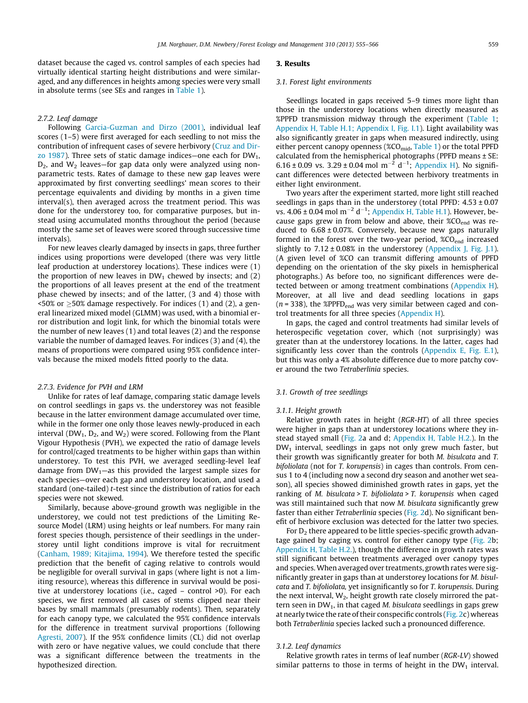dataset because the caged vs. control samples of each species had virtually identical starting height distributions and were similaraged, and any differences in heights among species were very small in absolute terms (see SEs and ranges in [Table 1\)](#page-3-0).

## 2.7.2. Leaf damage

Following [Garcia-Guzman and Dirzo \(2001\),](#page-10-0) individual leaf scores (1–5) were first averaged for each seedling to not miss the contribution of infrequent cases of severe herbivory ([Cruz and Dir](#page-10-0)[zo 1987](#page-10-0)). Three sets of static damage indices—one each for  $DW_1$ ,  $D_2$ , and  $W_2$  leaves–for gap data only were analyzed using nonparametric tests. Rates of damage to these new gap leaves were approximated by first converting seedlings' mean scores to their percentage equivalents and dividing by months in a given time interval(s), then averaged across the treatment period. This was done for the understorey too, for comparative purposes, but instead using accumulated months throughout the period (because mostly the same set of leaves were scored through successive time intervals).

For new leaves clearly damaged by insects in gaps, three further indices using proportions were developed (there was very little leaf production at understorey locations). These indices were (1) the proportion of new leaves in  $DW_1$  chewed by insects; and (2) the proportions of all leaves present at the end of the treatment phase chewed by insects; and of the latter, (3 and 4) those with  $\leq$  50% or  $\geq$  50% damage respectively. For indices (1) and (2), a general linearized mixed model (GLMM) was used, with a binomial error distribution and logit link, for which the binomial totals were the number of new leaves (1) and total leaves (2) and the response variable the number of damaged leaves. For indices (3) and (4), the means of proportions were compared using 95% confidence intervals because the mixed models fitted poorly to the data.

## 2.7.3. Evidence for PVH and LRM

Unlike for rates of leaf damage, comparing static damage levels on control seedlings in gaps vs. the understorey was not feasible because in the latter environment damage accumulated over time, while in the former one only those leaves newly-produced in each interval (DW<sub>1</sub>, D<sub>2</sub>, and W<sub>2</sub>) were scored. Following from the Plant Vigour Hypothesis (PVH), we expected the ratio of damage levels for control/caged treatments to be higher within gaps than within understorey. To test this PVH, we averaged seedling-level leaf damage from  $DW_1$ —as this provided the largest sample sizes for each species—over each gap and understorey location, and used a standard (one-tailed) t-test since the distribution of ratios for each species were not skewed.

Similarly, because above-ground growth was negligible in the understorey, we could not test predictions of the Limiting Resource Model (LRM) using heights or leaf numbers. For many rain forest species though, persistence of their seedlings in the understorey until light conditions improve is vital for recruitment ([Canham, 1989; Kitajima, 1994](#page-10-0)). We therefore tested the specific prediction that the benefit of caging relative to controls would be negligible for overall survival in gaps (where light is not a limiting resource), whereas this difference in survival would be positive at understorey locations (i.e., caged – control >0). For each species, we first removed all cases of stems clipped near their bases by small mammals (presumably rodents). Then, separately for each canopy type, we calculated the 95% confidence intervals for the difference in treatment survival proportions (following [Agresti, 2007](#page-10-0)). If the 95% confidence limits (CL) did not overlap with zero or have negative values, we could conclude that there was a significant difference between the treatments in the hypothesized direction.

## 3. Results

#### 3.1. Forest light environments

Seedlings located in gaps received 5–9 times more light than those in the understorey locations when directly measured as %PPFD transmission midway through the experiment [\(Table 1;](#page-3-0) Appendix H, Table H.1; Appendix I, Fig. I.1). Light availability was also significantly greater in gaps when measured indirectly, using either percent canopy openness ( $\%CO_{mid}$ , [Table 1](#page-3-0)) or the total PPFD calculated from the hemispherical photographs (PPFD means ± SE: 6.16 ± 0.09 vs.  $3.29 \pm 0.04$  mol m<sup>-2</sup> d<sup>-1</sup>; Appendix H). No significant differences were detected between herbivory treatments in either light environment.

Two years after the experiment started, more light still reached seedlings in gaps than in the understorey (total PPFD:  $4.53 \pm 0.07$ vs. 4.06  $\pm$  0.04 mol m<sup>-2</sup> d<sup>-1</sup>; Appendix H, Table H.1). However, because gaps grew in from below and above, their  $\%CO_{end}$  was reduced to  $6.68 \pm 0.07$ %. Conversely, because new gaps naturally formed in the forest over the two-year period,  $\%CO_{end}$  increased slightly to  $7.12 \pm 0.08\%$  in the understorey (Appendix J, Fig. J.1). (A given level of %CO can transmit differing amounts of PPFD depending on the orientation of the sky pixels in hemispherical photographs.) As before too, no significant differences were detected between or among treatment combinations (Appendix H). Moreover, at all live and dead seedling locations in gaps  $(n = 338)$ , the %PPFD<sub>end</sub> was very similar between caged and control treatments for all three species (Appendix H).

In gaps, the caged and control treatments had similar levels of heterospecific vegetation cover, which (not surprisingly) was greater than at the understorey locations. In the latter, cages had significantly less cover than the controls (Appendix E, Fig. E.1), but this was only a 4% absolute difference due to more patchy cover around the two Tetraberlinia species.

## 3.1. Growth of tree seedlings

#### 3.1.1. Height growth

Relative growth rates in height (RGR-HT) of all three species were higher in gaps than at understorey locations where they instead stayed small [\(Fig. 2](#page-5-0)a and d; Appendix H, Table H.2.). In the DW<sub>1</sub> interval, seedlings in gaps not only grew much faster, but their growth was significantly greater for both M. bisulcata and T. bifoliolata (not for T. korupensis) in cages than controls. From census 1 to 4 (including now a second dry season and another wet season), all species showed diminished growth rates in gaps, yet the ranking of M. bisulcata > T. bifoliolata > T. korupensis when caged was still maintained such that now M. bisulcata significantly grew faster than either Tetraberlinia species [\(Fig. 2](#page-5-0)d). No significant benefit of herbivore exclusion was detected for the latter two species.

For  $D_2$  there appeared to be little species-specific growth advantage gained by caging vs. control for either canopy type [\(Fig. 2b](#page-5-0); Appendix H, Table H.2.), though the difference in growth rates was still significant between treatments averaged over canopy types and species.When averaged over treatments, growth rates were significantly greater in gaps than at understorey locations for M. bisulcata and T. bifoliolata, yet insignificantly so for T. korupensis. During the next interval,  $W_2$ , height growth rate closely mirrored the pattern seen in  $DW_1$ , in that caged M. bisulcata seedlings in gaps grew at nearly twice the rate of their conspecific controls [\(Fig. 2c](#page-5-0)) whereas both Tetraberlinia species lacked such a pronounced difference.

## 3.1.2. Leaf dynamics

Relative growth rates in terms of leaf number (RGR-LV) showed similar patterns to those in terms of height in the  $DW_1$  interval.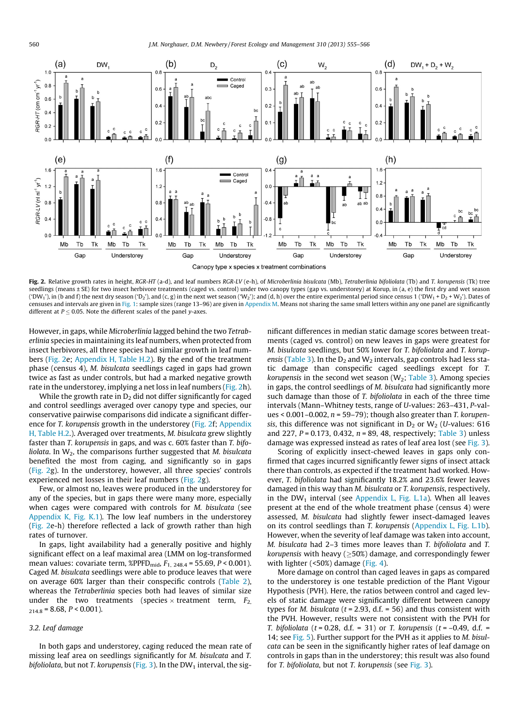<span id="page-5-0"></span>

Fig. 2. Relative growth rates in height, RGR-HT (a-d), and leaf numbers RGR-LV (e-h), of Microberlinia bisulcata (Mb), Tetraberlinia bifoliolata (Tb) and T. korupensis (Tk) tree seedlings (means ± SE) for two insect herbivore treatments (caged vs. control) under two canopy types (gap vs. understorey) at Korup, in (a, e) the first dry and wet season ('DW<sub>1</sub>'), in (b and f) the next dry season ('D<sub>2</sub>'), and (c, g) in the next wet season ('W<sub>2</sub>'); and (d, h) over the entire experimental period since census 1 ('DW<sub>1</sub> + D<sub>2</sub> + W<sub>2</sub>'). Dates of censuses and intervals are given in [Fig. 1](#page-2-0): sample sizes (range 13–96) are given in Appendix M. Means not sharing the same small letters within any one panel are significantly different at  $P < 0.05$ . Note the different scales of the panel y-axes.

However, in gaps, while Microberlinia lagged behind the two Tetraberlinia species in maintaining its leaf numbers, when protected from insect herbivores, all three species had similar growth in leaf numbers (Fig. 2e; Appendix H, Table H.2). By the end of the treatment phase (census 4), M. bisulcata seedlings caged in gaps had grown twice as fast as under controls, but had a marked negative growth rate in the understorey, implying a net loss in leaf numbers (Fig. 2h).

While the growth rate in  $D<sub>2</sub>$  did not differ significantly for caged and control seedlings averaged over canopy type and species, our conservative pairwise comparisons did indicate a significant difference for T. korupensis growth in the understorey (Fig. 2f; Appendix H, Table H.2.). Averaged over treatments, M. bisulcata grew slightly faster than T. korupensis in gaps, and was c. 60% faster than T. bifoliolata. In  $W_2$ , the comparisons further suggested that M. bisulcata benefited the most from caging, and significantly so in gaps (Fig. 2g). In the understorey, however, all three species' controls experienced net losses in their leaf numbers (Fig. 2g).

Few, or almost no, leaves were produced in the understorey for any of the species, but in gaps there were many more, especially when cages were compared with controls for M. bisulcata (see Appendix K, Fig. K.1). The low leaf numbers in the understorey (Fig. 2e-h) therefore reflected a lack of growth rather than high rates of turnover.

In gaps, light availability had a generally positive and highly significant effect on a leaf maximal area (LMM on log-transformed mean values: covariate term, %PPFD<sub>mid</sub>,  $F_{1, 248.4}$  = 55.69,  $P$  < 0.001). Caged M. bisulcata seedlings were able to produce leaves that were on average 60% larger than their conspecific controls ([Table 2\)](#page-6-0), whereas the Tetraberlinia species both had leaves of similar size under the two treatments (species $\times$ treatment term,  $F_{2,}$  $_{214.8}$  = 8.68, P < 0.001).

## 3.2. Leaf damage

In both gaps and understorey, caging reduced the mean rate of missing leaf area on seedlings significantly for M. bisulcata and T. bifoliolata, but not T. korupensis [\(Fig. 3\)](#page-7-0). In the DW<sub>1</sub> interval, the significant differences in median static damage scores between treatments (caged vs. control) on new leaves in gaps were greatest for M. bisulcata seedlings, but 50% lower for T. bifoliolata and T. korup-ensis [\(Table 3](#page-7-0)). In the  $D_2$  and  $W_2$  intervals, gap controls had less static damage than conspecific caged seedlings except for T. korupensis in the second wet season ( $W_2$ ; [Table 3\)](#page-7-0). Among species in gaps, the control seedlings of M. bisulcata had significantly more such damage than those of T. bifoliolata in each of the three time intervals (Mann–Whitney tests, range of U-values: 263–431, P-values <  $0.001 - 0.002$ ,  $n = 59 - 79$ ); though also greater than T. korupensis, this difference was not significant in  $D_2$  or  $W_2$  (U-values: 616 and 227,  $P = 0.173$ , 0.432,  $n = 89$ , 48, respectively; [Table 3\)](#page-7-0) unless damage was expressed instead as rates of leaf area lost (see [Fig. 3\)](#page-7-0).

Scoring of explicitly insect-chewed leaves in gaps only confirmed that cages incurred significantly fewer signs of insect attack there than controls, as expected if the treatment had worked. However, T. bifoliolata had significantly 18.2% and 23.6% fewer leaves damaged in this way than M. bisulcata or T. korupensis, respectively, in the DW<sub>1</sub> interval (see Appendix L, Fig. L.1a). When all leaves present at the end of the whole treatment phase (census 4) were assessed, M. bisulcata had slightly fewer insect-damaged leaves on its control seedlings than T. korupensis (Appendix L, Fig. L.1b). However, when the severity of leaf damage was taken into account, M. bisulcata had 2–3 times more leaves than T. bifoliolata and T. korupensis with heavy ( $\geq$ 50%) damage, and correspondingly fewer with lighter (<50%) damage [\(Fig. 4\)](#page-8-0).

More damage on control than caged leaves in gaps as compared to the understorey is one testable prediction of the Plant Vigour Hypothesis (PVH). Here, the ratios between control and caged levels of static damage were significantly different between canopy types for *M. bisulcata* ( $t = 2.93$ , d.f. = 56) and thus consistent with the PVH. However, results were not consistent with the PVH for T. bifoliolata ( $t = 0.28$ , d.f. = 31) or T. korupensis ( $t = -0.49$ , d.f. = 14; see [Fig. 5\)](#page-8-0). Further support for the PVH as it applies to M. bisulcata can be seen in the significantly higher rates of leaf damage on controls in gaps than in the understorey; this result was also found for T. bifoliolata, but not T. korupensis (see [Fig. 3](#page-7-0)).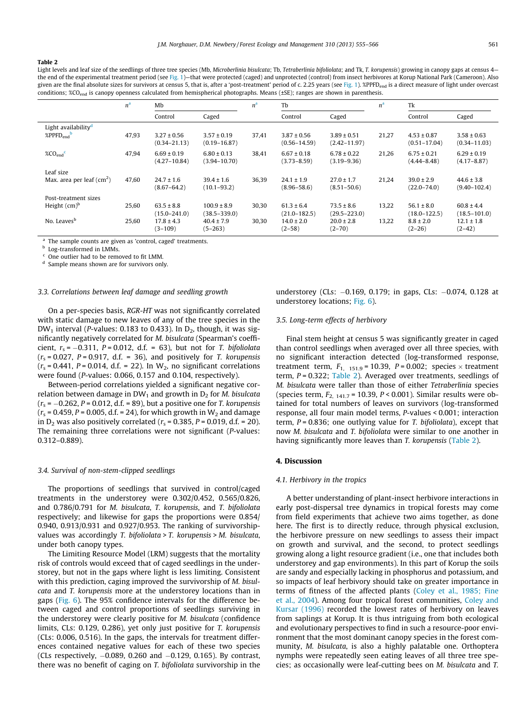#### <span id="page-6-0"></span>Table 2

Light levels and leaf size of the seedlings of three tree species (Mb, Microberlinia bisulcata; Tb, Tetraberlinia bifoliolata; and Tk, T. korupensis) growing in canopy gaps at census 4– the end of the experimental treatment period (see [Fig. 1](#page-2-0))—that were protected (caged) and unprotected (control) from insect herbivores at Korup National Park (Cameroon). Also given are the final absolute sizes for survivors at census 5, that is, after a 'post-treatment' period of c. 2.25 years (see [Fig. 1\)](#page-2-0). %PPFD<sub>end</sub> is a direct measure of light under overcast conditions;  $\%CO_{end}$  is canopy openness calculated from hemispherical photographs. Means (±SE); ranges are shown in parenthesis.

|                                       | n <sup>a</sup> | Mb                                  |                                     | $n^{\rm a}$ | Tb                                  |                                     | $n^{\rm a}$ | Tk                                  |                                     |
|---------------------------------------|----------------|-------------------------------------|-------------------------------------|-------------|-------------------------------------|-------------------------------------|-------------|-------------------------------------|-------------------------------------|
|                                       |                | Control                             | Caged                               |             | Control                             | Caged                               |             | Control                             | Caged                               |
| Light availability <sup>d</sup>       |                |                                     |                                     |             |                                     |                                     |             |                                     |                                     |
| $\%$ PPFD <sub>end</sub> <sup>b</sup> | 47,93          | $3.27 \pm 0.56$<br>$(0.34 - 21.13)$ | $3.57 \pm 0.19$<br>$(0.19 - 16.87)$ | 37,41       | $3.87 \pm 0.56$<br>$(0.56 - 14.59)$ | $3.89 \pm 0.51$<br>$(2.42 - 11.97)$ | 21.27       | $4.53 \pm 0.87$<br>$(0.51 - 17.04)$ | $3.58 \pm 0.63$<br>$(0.34 - 11.03)$ |
| %CO <sub>end</sub> <sup>c</sup>       | 47,94          | $6.69 \pm 0.19$<br>$(4.27 - 10.84)$ | $6.80 \pm 0.13$<br>$(3.94 - 10.70)$ | 38,41       | $6.67 \pm 0.18$<br>$(3.73 - 8.59)$  | $6.78 \pm 0.22$<br>$(3.19 - 9.36)$  | 21.26       | $6.75 \pm 0.21$<br>$(4.44 - 8.48)$  | $6.29 \pm 0.19$<br>$(4.17 - 8.87)$  |
| Leaf size                             |                |                                     |                                     |             |                                     |                                     |             |                                     |                                     |
| Max. area per leaf $(cm2)$            | 47,60          | $24.7 \pm 1.6$<br>$(8.67 - 64.2)$   | $39.4 \pm 1.6$<br>$(10.1 - 93.2)$   | 36,39       | $24.1 \pm 1.9$<br>$(8.96 - 58.6)$   | $27.0 \pm 1.7$<br>$(8.51 - 50.6)$   | 21.24       | $39.0 \pm 2.9$<br>$(22.0 - 74.0)$   | $44.6 \pm 3.8$<br>$(9.40 - 102.4)$  |
| Post-treatment sizes                  |                |                                     |                                     |             |                                     |                                     |             |                                     |                                     |
| Height $(cm)b$                        | 25,60          | $63.5 \pm 8.8$<br>$(15.0 - 241.0)$  | $100.9 \pm 8.9$<br>$(38.5 - 339.0)$ | 30.30       | $61.3 \pm 6.4$<br>$(21.0 - 182.5)$  | $73.5 \pm 8.6$<br>$(29.5 - 223.0)$  | 13.22       | $56.1 \pm 8.0$<br>$(18.0 - 122.5)$  | $60.8 \pm 4.4$<br>$(18.5 - 101.0)$  |
| No. Leaves <sup>b</sup>               | 25,60          | $17.8 \pm 4.3$<br>$(3-109)$         | $40.4 \pm 7.9$<br>$(5-263)$         | 30,30       | $14.0 \pm 2.0$<br>$(2 - 58)$        | $20.0 \pm 2.8$<br>$(2 - 70)$        | 13,22       | $8.8 \pm 2.0$<br>$(2 - 26)$         | $12.1 \pm 1.8$<br>$(2-42)$          |

<sup>a</sup> The sample counts are given as 'control, caged' treatments.

**b** Log-transformed in LMMs.

<sup>c</sup> One outlier had to be removed to fit LMM.

<sup>d</sup> Sample means shown are for survivors only.

## 3.3. Correlations between leaf damage and seedling growth

On a per-species basis, RGR-HT was not significantly correlated with static damage to new leaves of any of the tree species in the DW<sub>1</sub> interval (*P*-values: 0.183 to 0.433). In  $D_2$ , though, it was significantly negatively correlated for M. bisulcata (Spearman's coefficient,  $r_s = -0.311$ ,  $P = 0.012$ , d.f. = 63), but not for T. bifoliolata  $(r<sub>s</sub> = 0.027, P = 0.917, d.f. = 36)$ , and positively for T. korupensis  $(r<sub>s</sub> = 0.441, P = 0.014, d.f. = 22)$ . In W<sub>2</sub>, no significant correlations were found (P-values: 0.066, 0.157 and 0.104, respectively).

Between-period correlations yielded a significant negative correlation between damage in  $DW_1$  and growth in  $D_2$  for M. bisulcata  $(r<sub>s</sub> = -0.262, P = 0.012, d.f. = 89)$ , but a positive one for T. korupensis  $(r_s = 0.459, P = 0.005, d.f. = 24)$ , for which growth in W<sub>2</sub> and damage in D<sub>2</sub> was also positively correlated ( $r_s$  = 0.385, P = 0.019, d.f. = 20). The remaining three correlations were not significant (P-values: 0.312–0.889).

#### 3.4. Survival of non-stem-clipped seedlings

The proportions of seedlings that survived in control/caged treatments in the understorey were 0.302/0.452, 0.565/0.826, and 0.786/0.791 for M. bisulcata, T. korupensis, and T. bifoliolata respectively; and likewise for gaps the proportions were 0.854/ 0.940, 0.913/0.931 and 0.927/0.953. The ranking of survivorshipvalues was accordingly T. bifoliolata > T. korupensis > M. bisulcata, under both canopy types.

The Limiting Resource Model (LRM) suggests that the mortality risk of controls would exceed that of caged seedlings in the understorey, but not in the gaps where light is less limiting. Consistent with this prediction, caging improved the survivorship of M. bisulcata and T. korupensis more at the understorey locations than in gaps [\(Fig. 6](#page-8-0)). The 95% confidence intervals for the difference between caged and control proportions of seedlings surviving in the understorey were clearly positive for M. bisulcata (confidence limits, CLs: 0.129, 0.286), yet only just positive for T. korupensis (CLs: 0.006, 0.516). In the gaps, the intervals for treatment differences contained negative values for each of these two species (CLs respectively,  $-0.089$ , 0.260 and  $-0.129$ , 0.165). By contrast, there was no benefit of caging on T. bifoliolata survivorship in the understorey (CLs:  $-0.169$ , 0.179; in gaps, CLs:  $-0.074$ , 0.128 at understorey locations; [Fig. 6\)](#page-8-0).

## 3.5. Long-term effects of herbivory

Final stem height at census 5 was significantly greater in caged than control seedlings when averaged over all three species, with no significant interaction detected (log-transformed response, treatment term,  $F_{1, 151.9}$  = 10.39,  $P = 0.002$ ; species  $\times$  treatment term,  $P = 0.322$ ; Table 2). Averaged over treatments, seedlings of M. bisulcata were taller than those of either Tetraberlinia species (species term,  $F_{2, 141.7}$  = 10.39,  $P < 0.001$ ). Similar results were obtained for total numbers of leaves on survivors (log-transformed response, all four main model terms, P-values < 0.001; interaction term,  $P = 0.836$ ; one outlying value for T. bifoliolata), except that now M. bisulcata and T. bifoliolata were similar to one another in having significantly more leaves than T. korupensis (Table 2).

## 4. Discussion

#### 4.1. Herbivory in the tropics

A better understanding of plant-insect herbivore interactions in early post-dispersal tree dynamics in tropical forests may come from field experiments that achieve two aims together, as done here. The first is to directly reduce, through physical exclusion, the herbivore pressure on new seedlings to assess their impact on growth and survival, and the second, to protect seedlings growing along a light resource gradient (i.e., one that includes both understorey and gap environments). In this part of Korup the soils are sandy and especially lacking in phosphorus and potassium, and so impacts of leaf herbivory should take on greater importance in terms of fitness of the affected plants ([Coley et al., 1985; Fine](#page-10-0) [et al., 2004](#page-10-0)). Among four tropical forest communities, [Coley and](#page-10-0) [Kursar \(1996\)](#page-10-0) recorded the lowest rates of herbivory on leaves from saplings at Korup. It is thus intriguing from both ecological and evolutionary perspectives to find in such a resource-poor environment that the most dominant canopy species in the forest community, M. bisulcata, is also a highly palatable one. Orthoptera nymphs were repeatedly seen eating leaves of all three tree species; as occasionally were leaf-cutting bees on M. bisulcata and T.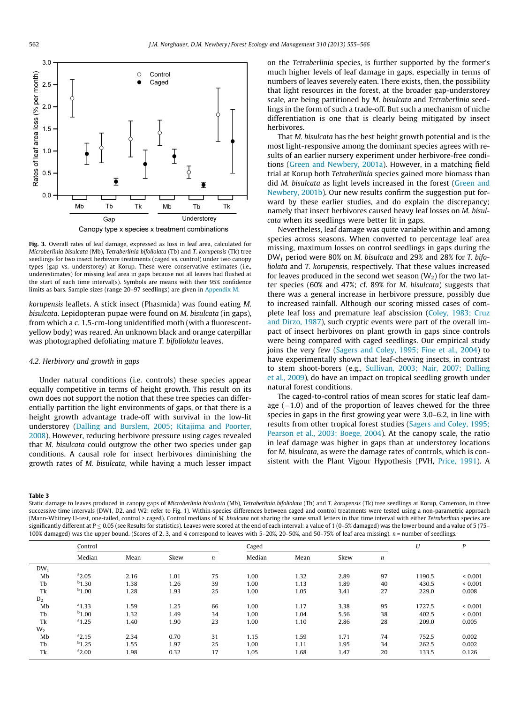<span id="page-7-0"></span>

Fig. 3. Overall rates of leaf damage, expressed as loss in leaf area, calculated for Microberlinia bisulcata (Mb), Tetraberlinia bifoliolata (Tb) and T. korupensis (Tk) tree seedlings for two insect herbivore treatments (caged vs. control) under two canopy types (gap vs. understorey) at Korup. These were conservative estimates (i.e., underestimates) for missing leaf area in gaps because not all leaves had flushed at the start of each time interval(s). Symbols are means with their 95% confidence limits as bars. Sample sizes (range 20–97 seedlings) are given in Appendix M.

korupensis leaflets. A stick insect (Phasmida) was found eating M. bisulcata. Lepidopteran pupae were found on M. bisulcata (in gaps), from which a c. 1.5-cm-long unidentified moth (with a fluorescentyellow body) was reared. An unknown black and orange caterpillar was photographed defoliating mature T. bifoliolata leaves.

## 4.2. Herbivory and growth in gaps

Under natural conditions (i.e. controls) these species appear equally competitive in terms of height growth. This result on its own does not support the notion that these tree species can differentially partition the light environments of gaps, or that there is a height growth advantage trade-off with survival in the low-lit understorey ([Dalling and Burslem, 2005; Kitajima and Poorter,](#page-10-0) [2008\)](#page-10-0). However, reducing herbivore pressure using cages revealed that M. bisulcata could outgrow the other two species under gap conditions. A causal role for insect herbivores diminishing the growth rates of M. bisulcata, while having a much lesser impact on the Tetraberlinia species, is further supported by the former's much higher levels of leaf damage in gaps, especially in terms of numbers of leaves severely eaten. There exists, then, the possibility that light resources in the forest, at the broader gap-understorey scale, are being partitioned by M. bisulcata and Tetraberlinia seedlings in the form of such a trade-off. But such a mechanism of niche differentiation is one that is clearly being mitigated by insect herbivores.

That M. bisulcata has the best height growth potential and is the most light-responsive among the dominant species agrees with results of an earlier nursery experiment under herbivore-free conditions ([Green and Newbery, 2001a](#page-10-0)). However, in a matching field trial at Korup both Tetraberlinia species gained more biomass than did M. bisulcata as light levels increased in the forest [\(Green and](#page-10-0) [Newbery, 2001b\)](#page-10-0). Our new results confirm the suggestion put forward by these earlier studies, and do explain the discrepancy; namely that insect herbivores caused heavy leaf losses on M. bisulcata when its seedlings were better lit in gaps.

Nevertheless, leaf damage was quite variable within and among species across seasons. When converted to percentage leaf area missing, maximum losses on control seedlings in gaps during the DW1 period were 80% on M. bisulcata and 29% and 28% for T. bifoliolata and T. korupensis, respectively. That these values increased for leaves produced in the second wet season  $(W_2)$  for the two latter species (60% and 47%; cf. 89% for M. bisulcata) suggests that there was a general increase in herbivore pressure, possibly due to increased rainfall. Although our scoring missed cases of complete leaf loss and premature leaf abscission ([Coley, 1983; Cruz](#page-10-0) [and Dirzo, 1987](#page-10-0)), such cryptic events were part of the overall impact of insect herbivores on plant growth in gaps since controls were being compared with caged seedlings. Our empirical study joins the very few [\(Sagers and Coley, 1995; Fine et al., 2004\)](#page-11-0) to have experimentally shown that leaf-chewing insects, in contrast to stem shoot-borers (e.g., [Sullivan, 2003; Nair, 2007; Dalling](#page-11-0) [et al., 2009](#page-11-0)), do have an impact on tropical seedling growth under natural forest conditions.

The caged-to-control ratios of mean scores for static leaf damage  $(-1.0)$  and of the proportion of leaves chewed for the three species in gaps in the first growing year were 3.0–6.2, in line with results from other tropical forest studies ([Sagers and Coley, 1995;](#page-11-0) [Pearson et al., 2003; Boege, 2004](#page-11-0)). At the canopy scale, the ratio in leaf damage was higher in gaps than at understorey locations for M. bisulcata, as were the damage rates of controls, which is consistent with the Plant Vigour Hypothesis (PVH, [Price, 1991](#page-11-0)). A

#### Table 3

Static damage to leaves produced in canopy gaps of Microberlinia bisulcata (Mb), Tetraberlinia bifoliolata (Tb) and T. korupensis (Tk) tree seedlings at Korup, Cameroon, in three successive time intervals (DW1, D2, and W2; refer to Fig. 1). Within-species differences between caged and control treatments were tested using a non-parametric approach (Mann-Whitney U-test, one-tailed, control > caged). Control medians of M. bisulcata not sharing the same small letters in that time interval with either Tetraberlinia species are significantly different at  $P \le 0.05$  (see Results for statistics). Leaves were scored at the end of each interval: a value of 1 (0-5% damaged) was the lower bound and a value of 5 (75-100% damaged) was the upper bound. (Scores of 2, 3, and 4 correspond to leaves with 5–20%, 20–50%, and 50–75% of leaf area missing). n = number of seedlings.

|        | Control    |      |      |    | Caged  |      |      |    | U      | P            |
|--------|------------|------|------|----|--------|------|------|----|--------|--------------|
|        | Median     | Mean | Skew | n  | Median | Mean | Skew | n  |        |              |
| $DW_1$ |            |      |      |    |        |      |      |    |        |              |
| Mb     | $a_{2.05}$ | 2.16 | 1.01 | 75 | 1.00   | 1.32 | 2.89 | 97 | 1190.5 | ${}< 0.001$  |
| Tb     | $b_{1.30}$ | 1.38 | 1.26 | 39 | 1.00   | 1.13 | 1.89 | 40 | 430.5  | ${}_{0.001}$ |
| Tk     | $b_{1.00}$ | 1.28 | 1.93 | 25 | 1.00   | 1.05 | 3.41 | 27 | 229.0  | 0.008        |
| $D_2$  |            |      |      |    |        |      |      |    |        |              |
| Mb     | $a_{1.33}$ | 1.59 | 1.25 | 66 | 1.00   | 1.17 | 3.38 | 95 | 1727.5 | ${}_{0.001}$ |
| Tb     | $b_{1.00}$ | 1.32 | 1.49 | 34 | 1.00   | 1.04 | 5.56 | 38 | 402.5  | ${}< 0.001$  |
| Tk     | $a_{1,25}$ | 1.40 | 1.90 | 23 | 1.00   | 1.10 | 2.86 | 28 | 209.0  | 0.005        |
| $W_2$  |            |      |      |    |        |      |      |    |        |              |
| Mb     | $a_{2.15}$ | 2.34 | 0.70 | 31 | 1.15   | 1.59 | 1.71 | 74 | 752.5  | 0.002        |
| Tb     | $b_{1.25}$ | 1.55 | 1.97 | 25 | 1.00   | 1.11 | 1.95 | 34 | 262.5  | 0.002        |
| Tk     | $a_{2.00}$ | 1.98 | 0.32 | 17 | 1.05   | 1.68 | 1.47 | 20 | 133.5  | 0.126        |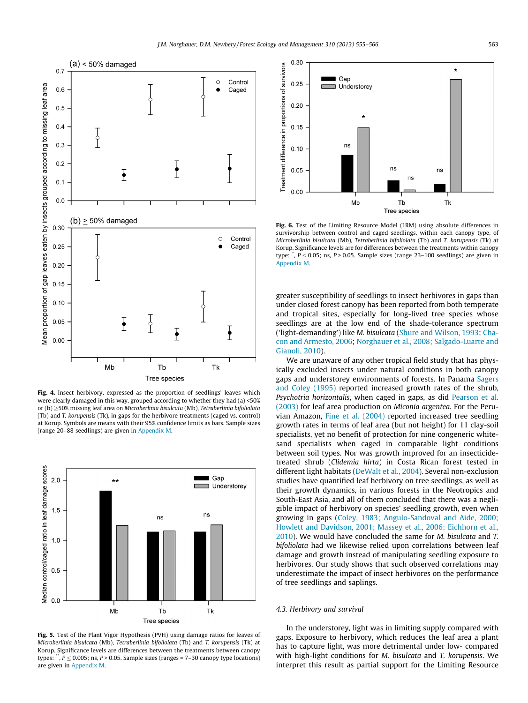<span id="page-8-0"></span>

Fig. 4. Insect herbivory, expressed as the proportion of seedlings' leaves which were clearly damaged in this way, grouped according to whether they had (a) <50% or (b) 50% missing leaf area on Microberlinia bisulcata (Mb), Tetraberlinia bifoliolata (Tb) and T. korupensis (Tk), in gaps for the herbivore treatments (caged vs. control) at Korup. Symbols are means with their 95% confidence limits as bars. Sample sizes (range 20–88 seedlings) are given in Appendix M.



Fig. 5. Test of the Plant Vigor Hypothesis (PVH) using damage ratios for leaves of Microberlinia bisulcata (Mb), Tetraberlinia bifoliolata (Tb) and T. korupensis (Tk) at Korup. Significance levels are differences between the treatments between canopy types:  $\ddot{ }$ ,  $P \le 0.005$ ; ns,  $P > 0.05$ . Sample sizes (ranges = 7–30 canopy type locations) are given in Appendix M.



Fig. 6. Test of the Limiting Resource Model (LRM) using absolute differences in survivorship between control and caged seedlings, within each canopy type, of Microberlinia bisulcata (Mb), Tetraberlinia bifoliolata (Tb) and T. korupensis (Tk) at Korup. Significance levels are for differences between the treatments within canopy type:  $\degree$ ,  $P \leq 0.05$ ; ns,  $P > 0.05$ . Sample sizes (range 23–100 seedlings) are given in Appendix M.

greater susceptibility of seedlings to insect herbivores in gaps than under closed forest canopy has been reported from both temperate and tropical sites, especially for long-lived tree species whose seedlings are at the low end of the shade-tolerance spectrum ('light-demanding') like M. bisulcata ([Shure and Wilson, 1993](#page-11-0); [Cha](#page-10-0)[con and Armesto, 2006;](#page-10-0) [Norghauer et al., 2008; Salgado-Luarte and](#page-11-0) [Gianoli, 2010\)](#page-11-0).

We are unaware of any other tropical field study that has physically excluded insects under natural conditions in both canopy gaps and understorey environments of forests. In Panama [Sagers](#page-11-0) [and Coley \(1995\)](#page-11-0) reported increased growth rates of the shrub, Psychotria horizontalis, when caged in gaps, as did [Pearson et al.](#page-11-0) [\(2003\)](#page-11-0) for leaf area production on Miconia argentea. For the Peruvian Amazon, [Fine et al. \(2004\)](#page-10-0) reported increased tree seedling growth rates in terms of leaf area (but not height) for 11 clay-soil specialists, yet no benefit of protection for nine congeneric whitesand specialists when caged in comparable light conditions between soil types. Nor was growth improved for an insecticidetreated shrub (Clidemia hirta) in Costa Rican forest tested in different light habitats [\(DeWalt et al., 2004\)](#page-10-0). Several non-exclusion studies have quantified leaf herbivory on tree seedlings, as well as their growth dynamics, in various forests in the Neotropics and South-East Asia, and all of them concluded that there was a negligible impact of herbivory on species' seedling growth, even when growing in gaps [\(Coley, 1983; Angulo-Sandoval and Aide, 2000;](#page-10-0) [Howlett and Davidson, 2001; Massey et al., 2006; Eichhorn et al.,](#page-10-0) [2010](#page-10-0)). We would have concluded the same for M. bisulcata and T. bifoliolata had we likewise relied upon correlations between leaf damage and growth instead of manipulating seedling exposure to herbivores. Our study shows that such observed correlations may underestimate the impact of insect herbivores on the performance of tree seedlings and saplings.

## 4.3. Herbivory and survival

In the understorey, light was in limiting supply compared with gaps. Exposure to herbivory, which reduces the leaf area a plant has to capture light, was more detrimental under low- compared with high-light conditions for M. bisulcata and T. korupensis. We interpret this result as partial support for the Limiting Resource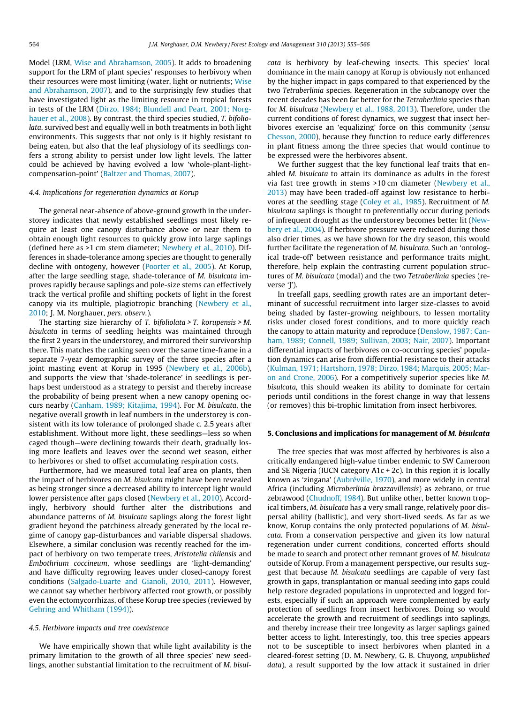Model (LRM, [Wise and Abrahamson, 2005\)](#page-11-0). It adds to broadening support for the LRM of plant species' responses to herbivory when their resources were most limiting (water, light or nutrients; [Wise](#page-11-0) [and Abrahamson, 2007](#page-11-0)), and to the surprisingly few studies that have investigated light as the limiting resource in tropical forests in tests of the LRM ([Dirzo, 1984; Blundell and Peart, 2001; Norg](#page-10-0)[hauer et al., 2008](#page-10-0)). By contrast, the third species studied, T. bifoliolata, survived best and equally well in both treatments in both light environments. This suggests that not only is it highly resistant to being eaten, but also that the leaf physiology of its seedlings confers a strong ability to persist under low light levels. The latter could be achieved by having evolved a low 'whole-plant-lightcompensation-point' ([Baltzer and Thomas, 2007](#page-10-0)).

## 4.4. Implications for regeneration dynamics at Korup

The general near-absence of above-ground growth in the understorey indicates that newly established seedlings most likely require at least one canopy disturbance above or near them to obtain enough light resources to quickly grow into large saplings (defined here as >1 cm stem diameter; [Newbery et al., 2010\)](#page-11-0). Differences in shade-tolerance among species are thought to generally decline with ontogeny, however ([Poorter et al., 2005\)](#page-11-0). At Korup, after the large seedling stage, shade-tolerance of M. bisulcata improves rapidly because saplings and pole-size stems can effectively track the vertical profile and shifting pockets of light in the forest canopy via its multiple, plagiotropic branching ([Newbery et al.,](#page-11-0) [2010;](#page-11-0) J. M. Norghauer, pers. observ.).

The starting size hierarchy of T. bifoliolata > T. korupensis > M. bisulcata in terms of seedling heights was maintained through the first 2 years in the understorey, and mirrored their survivorship there. This matches the ranking seen over the same time-frame in a separate 7-year demographic survey of the three species after a joint masting event at Korup in 1995 ([Newbery et al., 2006b\)](#page-11-0), and supports the view that 'shade-tolerance' in seedlings is perhaps best understood as a strategy to persist and thereby increase the probability of being present when a new canopy opening occurs nearby [\(Canham, 1989; Kitajima, 1994\)](#page-10-0). For M. bisulcata, the negative overall growth in leaf numbers in the understorey is consistent with its low tolerance of prolonged shade c. 2.5 years after establishment. Without more light, these seedlings—less so when caged though—were declining towards their death, gradually losing more leaflets and leaves over the second wet season, either to herbivores or shed to offset accumulating respiration costs.

Furthermore, had we measured total leaf area on plants, then the impact of herbivores on M. bisulcata might have been revealed as being stronger since a decreased ability to intercept light would lower persistence after gaps closed ([Newbery et al., 2010](#page-11-0)). Accordingly, herbivory should further alter the distributions and abundance patterns of M. bisulcata saplings along the forest light gradient beyond the patchiness already generated by the local regime of canopy gap-disturbances and variable dispersal shadows. Elsewhere, a similar conclusion was recently reached for the impact of herbivory on two temperate trees, Aristotelia chilensis and Embothrium coccineum, whose seedlings are 'light-demanding' and have difficulty regrowing leaves under closed-canopy forest conditions [\(Salgado-Luarte and Gianoli, 2010, 2011](#page-11-0)). However, we cannot say whether herbivory affected root growth, or possibly even the ectomycorrhizas, of these Korup tree species (reviewed by [Gehring and Whitham \(1994\)\)](#page-10-0).

## 4.5. Herbivore impacts and tree coexistence

We have empirically shown that while light availability is the primary limitation to the growth of all three species' new seedlings, another substantial limitation to the recruitment of M. bisulcata is herbivory by leaf-chewing insects. This species' local dominance in the main canopy at Korup is obviously not enhanced by the higher impact in gaps compared to that experienced by the two Tetraberlinia species. Regeneration in the subcanopy over the recent decades has been far better for the Tetraberlinia species than for M. bisulcata ([Newbery et al., 1988, 2013](#page-10-0)). Therefore, under the current conditions of forest dynamics, we suggest that insect herbivores exercise an 'equalizing' force on this community (sensu [Chesson, 2000](#page-10-0)), because they function to reduce early differences in plant fitness among the three species that would continue to be expressed were the herbivores absent.

We further suggest that the key functional leaf traits that enabled M. bisulcata to attain its dominance as adults in the forest via fast tree growth in stems >10 cm diameter [\(Newbery et al.,](#page-11-0) [2013\)](#page-11-0) may have been traded-off against low resistance to herbivores at the seedling stage ([Coley et al., 1985](#page-10-0)). Recruitment of M. bisulcata saplings is thought to preferentially occur during periods of infrequent drought as the understorey becomes better lit [\(New](#page-10-0)[bery et al., 2004](#page-10-0)). If herbivore pressure were reduced during those also drier times, as we have shown for the dry season, this would further facilitate the regeneration of M. bisulcata. Such an 'ontological trade-off' between resistance and performance traits might, therefore, help explain the contrasting current population structures of M. bisulcata (modal) and the two Tetraberlinia species (reverse 'J').

In treefall gaps, seedling growth rates are an important determinant of successful recruitment into larger size-classes to avoid being shaded by faster-growing neighbours, to lessen mortality risks under closed forest conditions, and to more quickly reach the canopy to attain maturity and reproduce [\(Denslow, 1987; Can](#page-10-0)[ham, 1989; Connell, 1989; Sullivan, 2003; Nair, 2007\)](#page-10-0). Important differential impacts of herbivores on co-occurring species' population dynamics can arise from differential resistance to their attacks ([Kulman, 1971; Hartshorn, 1978; Dirzo, 1984; Marquis, 2005; Mar](#page-10-0)[on and Crone, 2006](#page-10-0)). For a competitively superior species like M. bisulcata, this should weaken its ability to dominate for certain periods until conditions in the forest change in way that lessens (or removes) this bi-trophic limitation from insect herbivores.

## 5. Conclusions and implications for management of M. bisulcata

The tree species that was most affected by herbivores is also a critically endangered high-value timber endemic to SW Cameroon and SE Nigeria (IUCN category  $A1c + 2c$ ). In this region it is locally known as 'zingana' ([Aubréville, 1970\)](#page-10-0), and more widely in central Africa (including Microberlinia brazzavillensis) as zebrano, or true zebrawood ([Chudnoff, 1984\)](#page-10-0). But unlike other, better known tropical timbers, M. bisulcata has a very small range, relatively poor dispersal ability (ballistic), and very short-lived seeds. As far as we know, Korup contains the only protected populations of M. bisulcata. From a conservation perspective and given its low natural regeneration under current conditions, concerted efforts should be made to search and protect other remnant groves of M. bisulcata outside of Korup. From a management perspective, our results suggest that because M. bisulcata seedlings are capable of very fast growth in gaps, transplantation or manual seeding into gaps could help restore degraded populations in unprotected and logged forests, especially if such an approach were complemented by early protection of seedlings from insect herbivores. Doing so would accelerate the growth and recruitment of seedlings into saplings, and thereby increase their tree longevity as larger saplings gained better access to light. Interestingly, too, this tree species appears not to be susceptible to insect herbivores when planted in a cleared-forest setting (D. M. Newbery, G. B. Chuyong, unpublished data), a result supported by the low attack it sustained in drier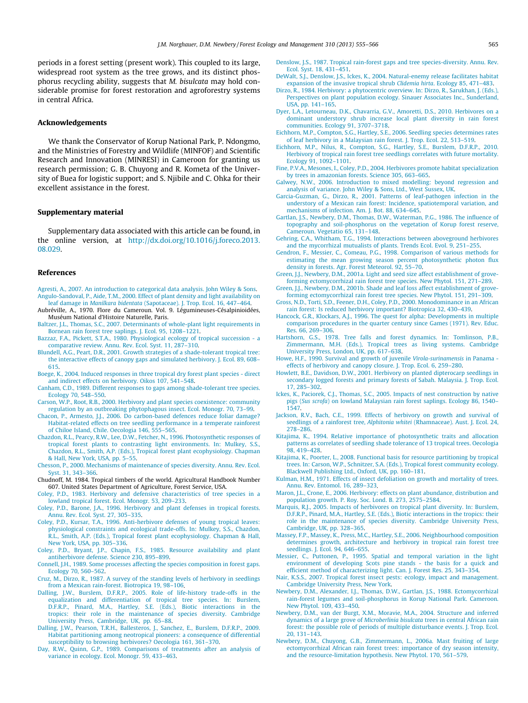<span id="page-10-0"></span>periods in a forest setting (present work). This coupled to its large, widespread root system as the tree grows, and its distinct phosphorus recycling ability, suggests that M. bisulcata may hold considerable promise for forest restoration and agroforestry systems in central Africa.

#### Acknowledgements

We thank the Conservator of Korup National Park, P. Ndongmo, and the Ministries of Forestry and Wildlife (MINFOF) and Scientific Research and Innovation (MINRESI) in Cameroon for granting us research permission; G. B. Chuyong and R. Kometa of the University of Buea for logistic support; and S. Njibile and C. Ohka for their excellent assistance in the forest.

## Supplementary material

Supplementary data associated with this article can be found, in the online version, at [http://dx.doi.org/10.1016/j.foreco.2013.](http://dx.doi.org/10.1016/j.foreco.2013.08.029) [08.029](http://dx.doi.org/10.1016/j.foreco.2013.08.029).

#### References

- [Agresti, A., 2007. An introduction to categorical data analysis. John Wiley & Sons.](http://refhub.elsevier.com/S0378-1127(13)00556-2/h0005) [Angulo-Sandoval, P., Aide, T.M., 2000. Effect of plant density and light availability on](http://refhub.elsevier.com/S0378-1127(13)00556-2/h0010) leaf damage in Manilkara bidentata [\(Sapotaceae\). J. Trop. Ecol. 16, 447–464](http://refhub.elsevier.com/S0378-1127(13)00556-2/h0010).
- Aubréville, A., 1970. Flore du Cameroun. Vol. 9. Légumineuses-Césalpinioidées, Muséum National d'Histoire Naturelle, Paris.
- [Baltzer, J.L., Thomas, S.C., 2007. Determinants of whole-plant light requirements in](http://refhub.elsevier.com/S0378-1127(13)00556-2/h0015) [Bornean rain forest tree saplings. J. Ecol. 95, 1208–1221](http://refhub.elsevier.com/S0378-1127(13)00556-2/h0015).
- [Bazzaz, F.A., Pickett, S.T.A., 1980. Physiological ecology of tropical succession a](http://refhub.elsevier.com/S0378-1127(13)00556-2/h0020) [comparative review. Annu. Rev. Ecol. Syst. 11, 287–310](http://refhub.elsevier.com/S0378-1127(13)00556-2/h0020).
- [Blundell, A.G., Peart, D.R., 2001. Growth strategies of a shade-tolerant tropical tree:](http://refhub.elsevier.com/S0378-1127(13)00556-2/h0025) [the interactive effects of canopy gaps and simulated herbivory. J. Ecol. 89, 608–](http://refhub.elsevier.com/S0378-1127(13)00556-2/h0025) [615.](http://refhub.elsevier.com/S0378-1127(13)00556-2/h0025)
- [Boege, K., 2004. Induced responses in three tropical dry forest plant species direct](http://refhub.elsevier.com/S0378-1127(13)00556-2/h0030) [and indirect effects on herbivory. Oikos 107, 541–548.](http://refhub.elsevier.com/S0378-1127(13)00556-2/h0030)
- [Canham, C.D., 1989. Different responses to gaps among shade-tolerant tree species.](http://refhub.elsevier.com/S0378-1127(13)00556-2/h0035) [Ecology 70, 548–550.](http://refhub.elsevier.com/S0378-1127(13)00556-2/h0035)
- [Carson, W.P., Root, R.B., 2000. Herbivory and plant species coexistence: community](http://refhub.elsevier.com/S0378-1127(13)00556-2/h0040) [regulation by an outbreaking phytophagous insect. Ecol. Monogr. 70, 73–99.](http://refhub.elsevier.com/S0378-1127(13)00556-2/h0040)
- [Chacon, P., Armesto, J.J., 2006. Do carbon-based defences reduce foliar damage?](http://refhub.elsevier.com/S0378-1127(13)00556-2/h0045) [Habitat-related effects on tree seedling performance in a temperate rainforest](http://refhub.elsevier.com/S0378-1127(13)00556-2/h0045) [of Chiloe Island, Chile. Oecologia 146, 555–565.](http://refhub.elsevier.com/S0378-1127(13)00556-2/h0045)
- [Chazdon, R.L., Pearcy, R.W., Lee, D.W., Fetcher, N., 1996. Photosynthetic responses of](http://refhub.elsevier.com/S0378-1127(13)00556-2/h0050) [tropical forest plants to contrasting light environments. In: Mulkey, S.S.,](http://refhub.elsevier.com/S0378-1127(13)00556-2/h0050) [Chazdon, R.L., Smith, A.P. \(Eds.\), Tropical forest plant ecophysiology. Chapman](http://refhub.elsevier.com/S0378-1127(13)00556-2/h0050) [& Hall, New York, USA, pp. 5–55](http://refhub.elsevier.com/S0378-1127(13)00556-2/h0050).
- [Chesson, P., 2000. Mechanisms of maintenance of species diversity. Annu. Rev. Ecol.](http://refhub.elsevier.com/S0378-1127(13)00556-2/h0055) [Syst. 31, 343–366.](http://refhub.elsevier.com/S0378-1127(13)00556-2/h0055)
- Chudnoff, M. 1984. Tropical timbers of the world. Agricultural Handbook Number 607. United States Department of Agriculture, Forest Service, USA.
- [Coley, P.D., 1983. Herbivory and defensive characteristics of tree species in a](http://refhub.elsevier.com/S0378-1127(13)00556-2/h0060) [lowland tropical forest. Ecol. Monogr. 53, 209–233.](http://refhub.elsevier.com/S0378-1127(13)00556-2/h0060)
- [Coley, P.D., Barone, J.A., 1996. Herbivory and plant defenses in tropical forests.](http://refhub.elsevier.com/S0378-1127(13)00556-2/h0065) [Annu. Rev. Ecol. Syst. 27, 305–335](http://refhub.elsevier.com/S0378-1127(13)00556-2/h0065).
- [Coley, P.D., Kursar, T.A., 1996. Anti-herbivore defenses of young tropical leaves:](http://refhub.elsevier.com/S0378-1127(13)00556-2/h0070) [physiological constraints and ecological trade-offs. In: Mulkey, S.S., Chazdon,](http://refhub.elsevier.com/S0378-1127(13)00556-2/h0070) [R.L., Smith, A.P. \(Eds.\), Tropical forest plant ecophysiology. Chapman & Hall,](http://refhub.elsevier.com/S0378-1127(13)00556-2/h0070) [New York, USA, pp. 305–336](http://refhub.elsevier.com/S0378-1127(13)00556-2/h0070).
- [Coley, P.D., Bryant, J.P., Chapin, F.S., 1985. Resource availability and plant](http://refhub.elsevier.com/S0378-1127(13)00556-2/h0075) [antiherbivore defense. Science 230, 895–899.](http://refhub.elsevier.com/S0378-1127(13)00556-2/h0075)
- [Connell, J.H., 1989. Some processes affecting the species composition in forest gaps.](http://refhub.elsevier.com/S0378-1127(13)00556-2/h0080) [Ecology 70, 560–562.](http://refhub.elsevier.com/S0378-1127(13)00556-2/h0080)
- [Cruz, M., Dirzo, R., 1987. A survey of the standing levels of herbivory in seedlings](http://refhub.elsevier.com/S0378-1127(13)00556-2/h0085) [from a Mexican rain-forest. Biotropica 19, 98–106](http://refhub.elsevier.com/S0378-1127(13)00556-2/h0085).
- [Dalling, J.W., Burslem, D.F.R.P., 2005. Role of life-history trade-offs in the](http://refhub.elsevier.com/S0378-1127(13)00556-2/h0090) [equalization and differentiation of tropical tree species. In: Burslem,](http://refhub.elsevier.com/S0378-1127(13)00556-2/h0090) [D.F.R.P., Pinard, M.A., Hartley, S.E. \(Eds.\), Biotic interactions in the](http://refhub.elsevier.com/S0378-1127(13)00556-2/h0090) [tropics: their role in the maintenance of species diversity. Cambridge](http://refhub.elsevier.com/S0378-1127(13)00556-2/h0090) [University Press, Cambridge, UK, pp. 65–88](http://refhub.elsevier.com/S0378-1127(13)00556-2/h0090).
- [Dalling, J.W., Pearson, T.R.H., Ballesteros, J., Sanchez, E., Burslem, D.F.R.P., 2009.](http://refhub.elsevier.com/S0378-1127(13)00556-2/h0095) [Habitat partitioning among neotropical pioneers: a consequence of differential](http://refhub.elsevier.com/S0378-1127(13)00556-2/h0095) [susceptibility to browsing herbivores? Oecologia 161, 361–370.](http://refhub.elsevier.com/S0378-1127(13)00556-2/h0095)
- [Day, R.W., Quinn, G.P., 1989. Comparisons of treatments after an analysis of](http://refhub.elsevier.com/S0378-1127(13)00556-2/h0100) [variance in ecology. Ecol. Monogr. 59, 433–463](http://refhub.elsevier.com/S0378-1127(13)00556-2/h0100).
- [Denslow, J.S., 1987. Tropical rain-forest gaps and tree species-diversity. Annu. Rev.](http://refhub.elsevier.com/S0378-1127(13)00556-2/h0105) [Ecol. Syst. 18, 431–451.](http://refhub.elsevier.com/S0378-1127(13)00556-2/h0105)
- [DeWalt, S.J., Denslow, J.S., Ickes, K., 2004. Natural-enemy release facilitates habitat](http://refhub.elsevier.com/S0378-1127(13)00556-2/h0110) [expansion of the invasive tropical shrub](http://refhub.elsevier.com/S0378-1127(13)00556-2/h0110) Clidemia hirta. Ecology 85, 471–483.
- [Dirzo, R., 1984. Herbivory: a phytocentric overview. In: Dirzo, R., Sarukhan, J. \(Eds.\),](http://refhub.elsevier.com/S0378-1127(13)00556-2/h0115) [Perspectives on plant population ecology. Sinauer Associates Inc., Sunderland,](http://refhub.elsevier.com/S0378-1127(13)00556-2/h0115) [USA, pp. 141–165.](http://refhub.elsevier.com/S0378-1127(13)00556-2/h0115)
- [Dyer, L.A., Letourneau, D.K., Chavarria, G.V., Amoretti, D.S., 2010. Herbivores on a](http://refhub.elsevier.com/S0378-1127(13)00556-2/h0120) [dominant understory shrub increase local plant diversity in rain forest](http://refhub.elsevier.com/S0378-1127(13)00556-2/h0120) [communities. Ecology 91, 3707–3718.](http://refhub.elsevier.com/S0378-1127(13)00556-2/h0120)
- [Eichhorn, M.P., Compton, S.G., Hartley, S.E., 2006. Seedling species determines rates](http://refhub.elsevier.com/S0378-1127(13)00556-2/h0125) [of leaf herbivory in a Malaysian rain forest. J. Trop. Ecol. 22, 513–519](http://refhub.elsevier.com/S0378-1127(13)00556-2/h0125).
- [Eichhorn, M.P., Nilus, R., Compton, S.G., Hartley, S.E., Burslem, D.F.R.P., 2010.](http://refhub.elsevier.com/S0378-1127(13)00556-2/h0130) [Herbivory of tropical rain forest tree seedlings correlates with future mortality.](http://refhub.elsevier.com/S0378-1127(13)00556-2/h0130) [Ecology 91, 1092–1101](http://refhub.elsevier.com/S0378-1127(13)00556-2/h0130).
- [Fine, P.V.A., Mesones, I., Coley, P.D., 2004. Herbivores promote habitat specialization](http://refhub.elsevier.com/S0378-1127(13)00556-2/h0135) [by trees in amazonian forests. Science 305, 663–665.](http://refhub.elsevier.com/S0378-1127(13)00556-2/h0135)
- [Galwey, N.W., 2006. Introduction to mixed modelling: beyond regression and](http://refhub.elsevier.com/S0378-1127(13)00556-2/h0140) [analysis of variance. John Wiley & Sons, Ltd., West Sussex, UK](http://refhub.elsevier.com/S0378-1127(13)00556-2/h0140).
- [Garcia-Guzman, G., Dirzo, R., 2001. Patterns of leaf-pathogen infection in the](http://refhub.elsevier.com/S0378-1127(13)00556-2/h0145) [understory of a Mexican rain forest: Incidence, spatiotemporal variation, and](http://refhub.elsevier.com/S0378-1127(13)00556-2/h0145) [mechanisms of infection. Am. J. Bot. 88, 634–645](http://refhub.elsevier.com/S0378-1127(13)00556-2/h0145).
- [Gartlan, J.S., Newbery, D.M., Thomas, D.W., Waterman, P.G., 1986. The influence of](http://refhub.elsevier.com/S0378-1127(13)00556-2/h0150) [topography and soil-phosphorus on the vegetation of Korup forest reserve,](http://refhub.elsevier.com/S0378-1127(13)00556-2/h0150) [Cameroun. Vegetatio 65, 131–148](http://refhub.elsevier.com/S0378-1127(13)00556-2/h0150).
- [Gehring, C.A., Whitham, T.G., 1994. Interactions between aboveground herbivores](http://refhub.elsevier.com/S0378-1127(13)00556-2/h0155) [and the mycorrhizal mutualists of plants. Trends Ecol. Evol. 9, 251–255](http://refhub.elsevier.com/S0378-1127(13)00556-2/h0155).
- [Gendron, F., Messier, C., Comeau, P.G., 1998. Comparison of various methods for](http://refhub.elsevier.com/S0378-1127(13)00556-2/h0160) [estimating the mean growing season percent photosynthetic photon flux](http://refhub.elsevier.com/S0378-1127(13)00556-2/h0160) [density in forests. Agr. Forest Meteorol. 92, 55–70.](http://refhub.elsevier.com/S0378-1127(13)00556-2/h0160)
- [Green, J.J., Newbery, D.M., 2001a. Light and seed size affect establishment of grove](http://refhub.elsevier.com/S0378-1127(13)00556-2/h0165)[forming ectomycorrhizal rain forest tree species. New Phytol. 151, 271–289.](http://refhub.elsevier.com/S0378-1127(13)00556-2/h0165)
- [Green, J.J., Newbery, D.M., 2001b. Shade and leaf loss affect establishment of grove](http://refhub.elsevier.com/S0378-1127(13)00556-2/h0170)[forming ectomycorrhizal rain forest tree species. New Phytol. 151, 291–309.](http://refhub.elsevier.com/S0378-1127(13)00556-2/h0170) [Gross, N.D., Torti, S.D., Feener, D.H., Coley, P.D., 2000. Monodominance in an African](http://refhub.elsevier.com/S0378-1127(13)00556-2/h0175)
- [rain forest: Is reduced herbivory important? Biotropica 32, 430–439](http://refhub.elsevier.com/S0378-1127(13)00556-2/h0175).
- [Hancock, G.R., Klockars, A.J., 1996. The quest for alpha: Developments in multiple](http://refhub.elsevier.com/S0378-1127(13)00556-2/h0180) [comparison procedures in the quarter century since Games \(1971\). Rev. Educ.](http://refhub.elsevier.com/S0378-1127(13)00556-2/h0180) [Res. 66, 269–306](http://refhub.elsevier.com/S0378-1127(13)00556-2/h0180).
- [Hartshorn, G.S., 1978. Tree falls and forest dynamics. In: Tomlinson, P.B.,](http://refhub.elsevier.com/S0378-1127(13)00556-2/h0185) [Zimmermann, M.H. \(Eds.\), Tropical trees as living systems. Cambridge](http://refhub.elsevier.com/S0378-1127(13)00556-2/h0185) [University Press, London, UK, pp. 617–638.](http://refhub.elsevier.com/S0378-1127(13)00556-2/h0185)
- [Howe, H.F., 1990. Survival and growth of juvenile](http://refhub.elsevier.com/S0378-1127(13)00556-2/h0190) Virola-surinamensis in Panama [effects of herbivory and canopy closure. J. Trop. Ecol. 6, 259–280.](http://refhub.elsevier.com/S0378-1127(13)00556-2/h0190)
- [Howlett, B.E., Davidson, D.W., 2001. Herbivory on planted dipterocarp seedlings in](http://refhub.elsevier.com/S0378-1127(13)00556-2/h0195) [secondary logged forests and primary forests of Sabah. Malaysia. J. Trop. Ecol.](http://refhub.elsevier.com/S0378-1127(13)00556-2/h0195) [17, 285–302](http://refhub.elsevier.com/S0378-1127(13)00556-2/h0195).
- [Ickes, K., Paciorek, C.J., Thomas, S.C., 2005. Impacts of nest construction by native](http://refhub.elsevier.com/S0378-1127(13)00556-2/h0200) pigs (Sus scrofa[\) on lowland Malaysian rain forest saplings. Ecology 86, 1540–](http://refhub.elsevier.com/S0378-1127(13)00556-2/h0200) [1547.](http://refhub.elsevier.com/S0378-1127(13)00556-2/h0200)
- [Jackson, R.V., Bach, C.E., 1999. Effects of herbivory on growth and survival of](http://refhub.elsevier.com/S0378-1127(13)00556-2/h0205) seedlings of a rainforest tree, Alphitonia whitei [\(Rhamnaceae\). Aust. J. Ecol. 24,](http://refhub.elsevier.com/S0378-1127(13)00556-2/h0205) [278–286](http://refhub.elsevier.com/S0378-1127(13)00556-2/h0205).
- [Kitajima, K., 1994. Relative importance of photosynthetic traits and allocation](http://refhub.elsevier.com/S0378-1127(13)00556-2/h0210) [patterns as correlates of seedling shade tolerance of 13 tropical trees. Oecologia](http://refhub.elsevier.com/S0378-1127(13)00556-2/h0210) [98, 419–428](http://refhub.elsevier.com/S0378-1127(13)00556-2/h0210).
- [Kitajima, K., Poorter, L., 2008. Functional basis for resource partitioning by tropical](http://refhub.elsevier.com/S0378-1127(13)00556-2/h0215) [trees. In: Carson, W.P., Schnitzer, S.A. \(Eds.\), Tropical forest community ecology.](http://refhub.elsevier.com/S0378-1127(13)00556-2/h0215) [Blackwell Publishing Ltd., Oxford, UK, pp. 160–181](http://refhub.elsevier.com/S0378-1127(13)00556-2/h0215).
- [Kulman, H.M., 1971. Effects of insect defoliation on growth and mortality of trees.](http://refhub.elsevier.com/S0378-1127(13)00556-2/h0220) [Annu. Rev. Entomol. 16, 289–323](http://refhub.elsevier.com/S0378-1127(13)00556-2/h0220).
- [Maron, J.L., Crone, E., 2006. Herbivory: effects on plant abundance, distribution and](http://refhub.elsevier.com/S0378-1127(13)00556-2/h0225) [population growth. P. Roy. Soc. Lond. B. 273, 2575–2584.](http://refhub.elsevier.com/S0378-1127(13)00556-2/h0225)
- [Marquis, R.J., 2005. Impacts of herbivores on tropical plant diversity. In: Burslem,](http://refhub.elsevier.com/S0378-1127(13)00556-2/h0230) [D.F.R.P., Pinard, M.A., Hartley, S.E. \(Eds.\), Biotic interactions in the tropics: their](http://refhub.elsevier.com/S0378-1127(13)00556-2/h0230) [role in the maintenance of species diversity. Cambridge University Press,](http://refhub.elsevier.com/S0378-1127(13)00556-2/h0230) [Cambridge, UK, pp. 328–365.](http://refhub.elsevier.com/S0378-1127(13)00556-2/h0230)
- [Massey, F.P., Massey, K., Press, M.C., Hartley, S.E., 2006. Neighbourhood composition](http://refhub.elsevier.com/S0378-1127(13)00556-2/h0235) [determines growth, architecture and herbivory in tropical rain forest tree](http://refhub.elsevier.com/S0378-1127(13)00556-2/h0235)
- [seedlings. J. Ecol. 94, 646–655](http://refhub.elsevier.com/S0378-1127(13)00556-2/h0235). [Messier, C., Puttonen, P., 1995. Spatial and temporal variation in the light](http://refhub.elsevier.com/S0378-1127(13)00556-2/h0240) [environment of developing Scots pine stands - the basis for a quick and](http://refhub.elsevier.com/S0378-1127(13)00556-2/h0240) [efficient method of characterizing light. Can. J. Forest Res. 25, 343–354.](http://refhub.elsevier.com/S0378-1127(13)00556-2/h0240)
- [Nair, K.S.S., 2007. Tropical forest insect pests: ecology, impact and management.](http://refhub.elsevier.com/S0378-1127(13)00556-2/h0245) [Cambridge University Press, New York.](http://refhub.elsevier.com/S0378-1127(13)00556-2/h0245)
- [Newbery, D.M., Alexander, I.J., Thomas, D.W., Gartlan, J.S., 1988. Ectomycorrhizal](http://refhub.elsevier.com/S0378-1127(13)00556-2/h0250) [rain-forest legumes and soil-phosphorus in Korup National Park. Cameroon.](http://refhub.elsevier.com/S0378-1127(13)00556-2/h0250) [New Phytol. 109, 433–450](http://refhub.elsevier.com/S0378-1127(13)00556-2/h0250).
- [Newbery, D.M., van der Burgt, X.M., Moravie, M.A., 2004. Structure and inferred](http://refhub.elsevier.com/S0378-1127(13)00556-2/h0255) [dynamics of a large grove of](http://refhub.elsevier.com/S0378-1127(13)00556-2/h0255) Microberlinia bisulcata trees in central African rain [forest: the possible role of periods of multiple disturbance events. J. Trop. Ecol.](http://refhub.elsevier.com/S0378-1127(13)00556-2/h0255) [20, 131–143](http://refhub.elsevier.com/S0378-1127(13)00556-2/h0255).
- [Newbery, D.M., Chuyong, G.B., Zimmermann, L., 2006a. Mast fruiting of large](http://refhub.elsevier.com/S0378-1127(13)00556-2/h0260) [ectomycorrhizal African rain forest trees: importance of dry season intensity,](http://refhub.elsevier.com/S0378-1127(13)00556-2/h0260) [and the resource-limitation hypothesis. New Phytol. 170, 561–579.](http://refhub.elsevier.com/S0378-1127(13)00556-2/h0260)